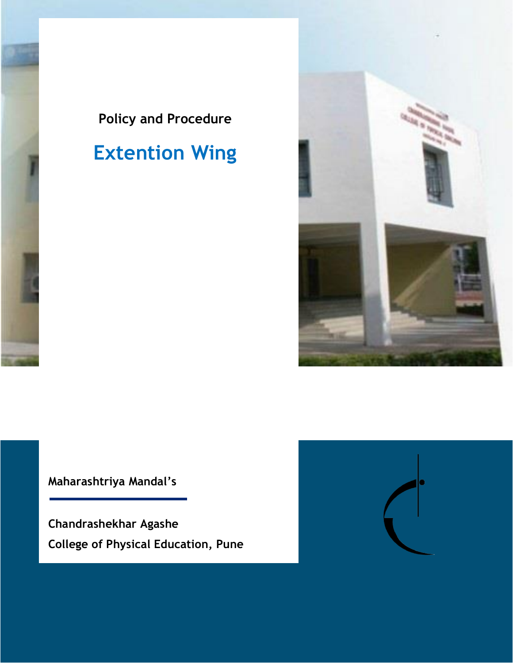

# **Extention Wing**



**Maharashtriya Mandal's**

**Chandrashekhar Agashe College of Physical Education, Pune**

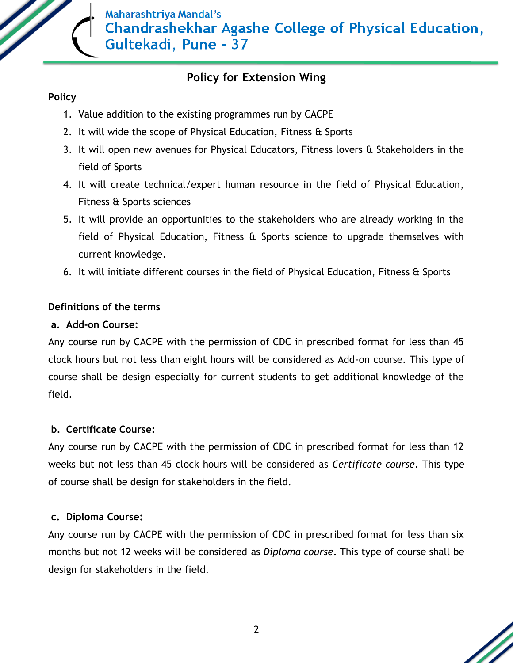

## **Policy for Extension Wing**

## **Policy**

- 1. Value addition to the existing programmes run by CACPE
- 2. It will wide the scope of Physical Education, Fitness & Sports
- 3. It will open new avenues for Physical Educators, Fitness lovers & Stakeholders in the field of Sports
- 4. It will create technical/expert human resource in the field of Physical Education, Fitness & Sports sciences
- 5. It will provide an opportunities to the stakeholders who are already working in the field of Physical Education, Fitness & Sports science to upgrade themselves with current knowledge.
- 6. It will initiate different courses in the field of Physical Education, Fitness & Sports

## **Definitions of the terms**

## **a. Add-on Course:**

Any course run by CACPE with the permission of CDC in prescribed format for less than 45 clock hours but not less than eight hours will be considered as Add-on course. This type of course shall be design especially for current students to get additional knowledge of the field.

## **b. Certificate Course:**

Any course run by CACPE with the permission of CDC in prescribed format for less than 12 weeks but not less than 45 clock hours will be considered as *Certificate course*. This type of course shall be design for stakeholders in the field.

## **c. Diploma Course:**

Any course run by CACPE with the permission of CDC in prescribed format for less than six months but not 12 weeks will be considered as *Diploma course*. This type of course shall be design for stakeholders in the field.

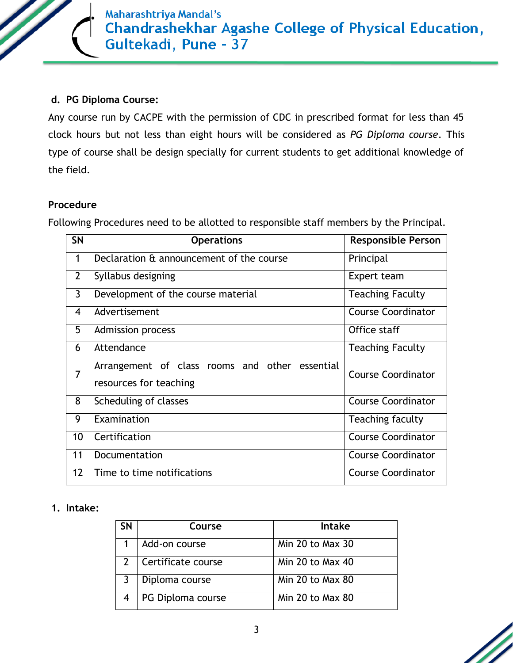Maharashtriya Mandal's **Chandrashekhar Agashe College of Physical Education,** Gultekadi, Pune - 37

#### **d. PG Diploma Course:**

Any course run by CACPE with the permission of CDC in prescribed format for less than 45 clock hours but not less than eight hours will be considered as *PG Diploma course*. This type of course shall be design specially for current students to get additional knowledge of the field.

#### **Procedure**

Following Procedures need to be allotted to responsible staff members by the Principal.

| <b>SN</b>                | <b>Operations</b>                                                           | <b>Responsible Person</b> |  |
|--------------------------|-----------------------------------------------------------------------------|---------------------------|--|
| 1                        | Declaration & announcement of the course                                    | Principal                 |  |
| $\overline{2}$           | Syllabus designing                                                          | Expert team               |  |
| $\mathbf{3}$             | Development of the course material                                          | <b>Teaching Faculty</b>   |  |
| $\overline{\mathcal{A}}$ | Advertisement                                                               | <b>Course Coordinator</b> |  |
| 5                        | <b>Admission process</b>                                                    | Office staff              |  |
| 6                        | Attendance                                                                  | <b>Teaching Faculty</b>   |  |
| $\overline{7}$           | other essential<br>Arrangement of class rooms and<br>resources for teaching | <b>Course Coordinator</b> |  |
| 8                        | Scheduling of classes                                                       | <b>Course Coordinator</b> |  |
| 9                        | Examination                                                                 | Teaching faculty          |  |
| 10                       | Certification                                                               | <b>Course Coordinator</b> |  |
| 11                       | Documentation                                                               | <b>Course Coordinator</b> |  |
| 12                       | Time to time notifications                                                  | <b>Course Coordinator</b> |  |

#### **1. Intake:**

| SΝ | Course             | <b>Intake</b>    |
|----|--------------------|------------------|
|    | Add-on course      | Min 20 to Max 30 |
|    | Certificate course | Min 20 to Max 40 |
|    | Diploma course     | Min 20 to Max 80 |
|    | PG Diploma course  | Min 20 to Max 80 |

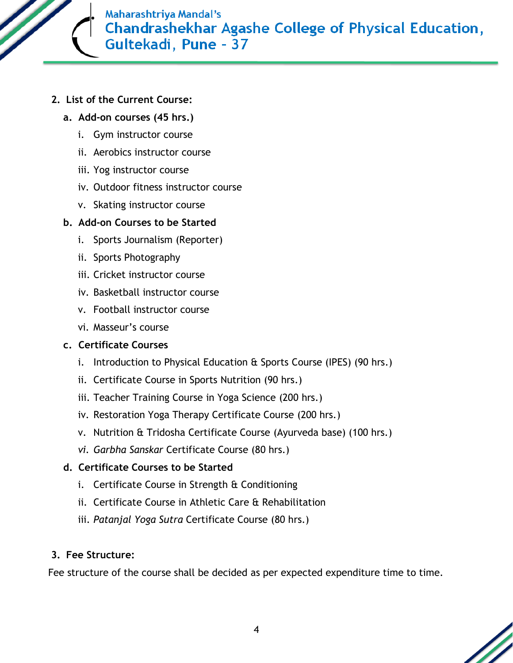**Maharashtriya Mandal's Chandrashekhar Agashe College of Physical Education,** Gultekadi, Pune - 37

- **2. List of the Current Course:**
	- **a. Add-on courses (45 hrs.)**
		- i. Gym instructor course
		- ii. Aerobics instructor course
		- iii. Yog instructor course
		- iv. Outdoor fitness instructor course
		- v. Skating instructor course

## **b. Add-on Courses to be Started**

- i. Sports Journalism (Reporter)
- ii. Sports Photography
- iii. Cricket instructor course
- iv. Basketball instructor course
- v. Football instructor course
- vi. Masseur's course

## **c. Certificate Courses**

- i. Introduction to Physical Education & Sports Course (IPES) (90 hrs.)
- ii. Certificate Course in Sports Nutrition (90 hrs.)
- iii. Teacher Training Course in Yoga Science (200 hrs.)
- iv. Restoration Yoga Therapy Certificate Course (200 hrs.)
- v. Nutrition & Tridosha Certificate Course (Ayurveda base) (100 hrs.)
- *vi. Garbha Sanskar* Certificate Course (80 hrs.)

## **d. Certificate Courses to be Started**

- i. Certificate Course in Strength & Conditioning
- ii. Certificate Course in Athletic Care & Rehabilitation
- iii. *Patanjal Yoga Sutra* Certificate Course (80 hrs.)

## **3. Fee Structure:**

Fee structure of the course shall be decided as per expected expenditure time to time.

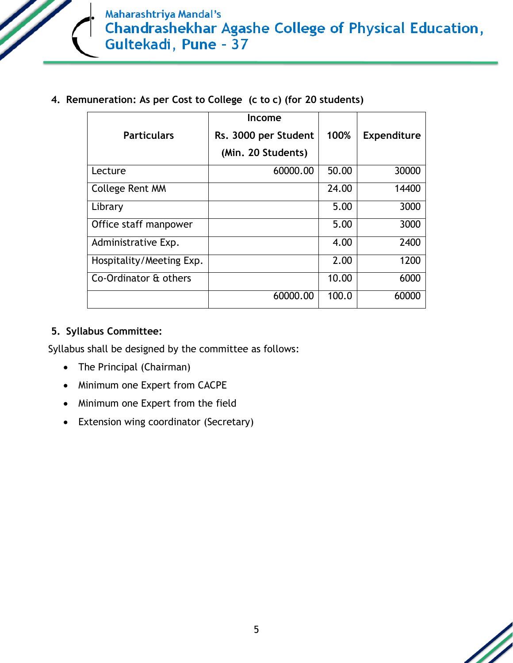

**4. Remuneration: As per Cost to College (c to c) (for 20 students)**

|                          | Income               |       |                    |
|--------------------------|----------------------|-------|--------------------|
| <b>Particulars</b>       | Rs. 3000 per Student | 100%  | <b>Expenditure</b> |
|                          | (Min. 20 Students)   |       |                    |
| Lecture                  | 60000.00             | 50.00 | 30000              |
| College Rent MM          |                      | 24.00 | 14400              |
| Library                  |                      | 5.00  | 3000               |
| Office staff manpower    |                      | 5.00  | 3000               |
| Administrative Exp.      |                      | 4.00  | 2400               |
| Hospitality/Meeting Exp. |                      | 2.00  | 1200               |
| Co-Ordinator & others    |                      | 10.00 | 6000               |
|                          | 60000.00             | 100.0 | 60000              |

#### **5. Syllabus Committee:**

Syllabus shall be designed by the committee as follows:

- The Principal (Chairman)
- Minimum one Expert from CACPE
- Minimum one Expert from the field
- Extension wing coordinator (Secretary)

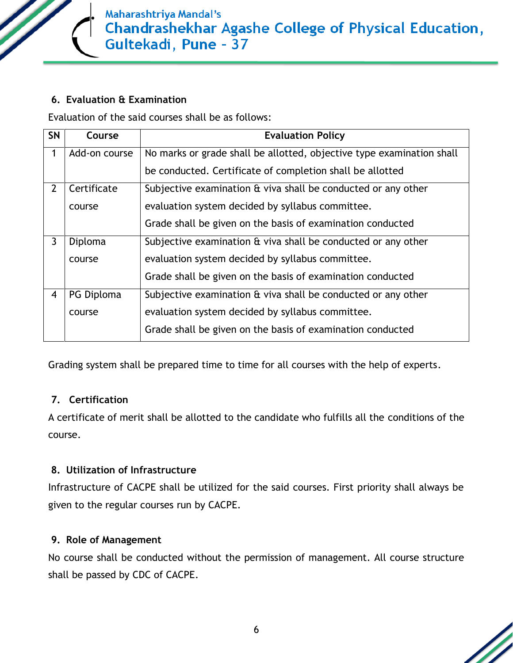**Maharashtriya Mandal's Chandrashekhar Agashe College of Physical Education,** Gultekadi, Pune - 37

#### **6. Evaluation & Examination**

Evaluation of the said courses shall be as follows:

| <b>SN</b>      | Course        | <b>Evaluation Policy</b>                                              |
|----------------|---------------|-----------------------------------------------------------------------|
| 1              | Add-on course | No marks or grade shall be allotted, objective type examination shall |
|                |               | be conducted. Certificate of completion shall be allotted             |
| $\overline{2}$ | Certificate   | Subjective examination $\theta$ viva shall be conducted or any other  |
|                | course        | evaluation system decided by syllabus committee.                      |
|                |               | Grade shall be given on the basis of examination conducted            |
| 3              | Diploma       | Subjective examination & viva shall be conducted or any other         |
|                | course        | evaluation system decided by syllabus committee.                      |
|                |               | Grade shall be given on the basis of examination conducted            |
| $\overline{4}$ | PG Diploma    | Subjective examination $\theta$ viva shall be conducted or any other  |
|                | course        | evaluation system decided by syllabus committee.                      |
|                |               | Grade shall be given on the basis of examination conducted            |

Grading system shall be prepared time to time for all courses with the help of experts.

#### **7. Certification**

A certificate of merit shall be allotted to the candidate who fulfills all the conditions of the course.

#### **8. Utilization of Infrastructure**

Infrastructure of CACPE shall be utilized for the said courses. First priority shall always be given to the regular courses run by CACPE.

#### **9. Role of Management**

No course shall be conducted without the permission of management. All course structure shall be passed by CDC of CACPE.